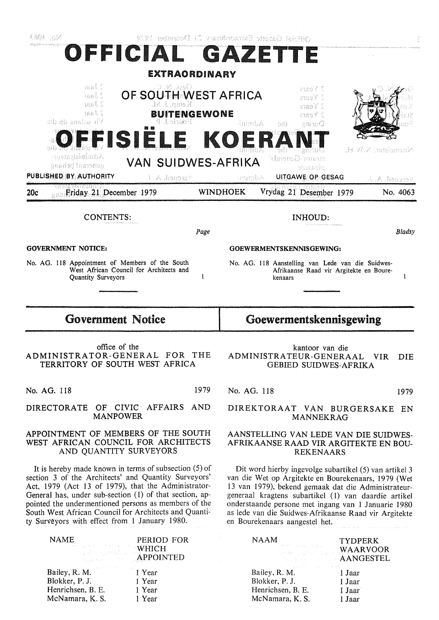| 毛線に 38月                                                                                                                                                                                                                                                                                                                                  |                                                                                            |      |                          | Official Cancte Bxtandbroad 11 December                                                                                                                                                                                                                                                                                                                                        |                                                 |                            |
|------------------------------------------------------------------------------------------------------------------------------------------------------------------------------------------------------------------------------------------------------------------------------------------------------------------------------------------|--------------------------------------------------------------------------------------------|------|--------------------------|--------------------------------------------------------------------------------------------------------------------------------------------------------------------------------------------------------------------------------------------------------------------------------------------------------------------------------------------------------------------------------|-------------------------------------------------|----------------------------|
|                                                                                                                                                                                                                                                                                                                                          | OFFICIAL GAZETTE                                                                           |      |                          |                                                                                                                                                                                                                                                                                                                                                                                |                                                 |                            |
|                                                                                                                                                                                                                                                                                                                                          | EXTRAORDINARY                                                                              |      |                          |                                                                                                                                                                                                                                                                                                                                                                                |                                                 |                            |
| nasi S<br>988L S<br>usai, S<br>Ifaal 1<br>sib shana di di                                                                                                                                                                                                                                                                                | Э М жэЭ<br>OF SOUTH WEST AFRICA<br>Kemp, J. M.<br><b>BUITENGEWONE</b><br>Fourie J. P<br>騎闘 |      | HaimbA                   | ansolí S<br>ansy C<br>auso Y L<br>atsoY S<br>orii.<br>During                                                                                                                                                                                                                                                                                                                   |                                                 |                            |
| Administrater<br>generaal behaaa<br>PUBLISHED BY AUTHORITY                                                                                                                                                                                                                                                                               | FISIELE KOER<br><b>VAN SUIDWES-AFRIKA</b>                                                  |      |                          | annaG<br>strator-Generals'<br>ptossic                                                                                                                                                                                                                                                                                                                                          |                                                 | Neumoister, N.W.H.         |
| <b>Excellent Priday 21 December 1979</b><br>20c                                                                                                                                                                                                                                                                                          | Vereueil, A. J.                                                                            |      | 三百百倍系<br><b>WINDHOEK</b> | UITGAWE OP GESAG<br>Vrydag 21 Desember 1979                                                                                                                                                                                                                                                                                                                                    |                                                 | Vercueil, A.J.<br>No. 4063 |
|                                                                                                                                                                                                                                                                                                                                          |                                                                                            |      |                          |                                                                                                                                                                                                                                                                                                                                                                                |                                                 |                            |
| CONTENTS:                                                                                                                                                                                                                                                                                                                                |                                                                                            |      |                          | INHOUD:                                                                                                                                                                                                                                                                                                                                                                        |                                                 |                            |
|                                                                                                                                                                                                                                                                                                                                          |                                                                                            | Page |                          |                                                                                                                                                                                                                                                                                                                                                                                |                                                 | Bladsy                     |
| <b>GOVERNMENT NOTICE:</b><br>No. AG. 118 Appointment of Members of the South                                                                                                                                                                                                                                                             |                                                                                            |      |                          | GOEWERMENTSKENNISGEWING:                                                                                                                                                                                                                                                                                                                                                       |                                                 |                            |
| Quantity Surveyors                                                                                                                                                                                                                                                                                                                       | West African Council for Architects and                                                    | 1    |                          | No. AG. 118 Aanstelling van Lede van die Suidwes-<br>kenaars                                                                                                                                                                                                                                                                                                                   | Afrikaanse Raad vir Argitekte en Boure-         | 1                          |
| <b>Government Notice</b>                                                                                                                                                                                                                                                                                                                 |                                                                                            |      | Goewermentskennisgewing  |                                                                                                                                                                                                                                                                                                                                                                                |                                                 |                            |
| ADMINISTRATOR-GENERAL FOR                                                                                                                                                                                                                                                                                                                | office of the<br>TERRITORY OF SOUTH WEST AFRICA                                            | THE  |                          | ADMINISTRATEUR-GENERAAL VIR DIE                                                                                                                                                                                                                                                                                                                                                | kantoor van die<br><b>GEBIED SUIDWES-AFRIKA</b> |                            |
|                                                                                                                                                                                                                                                                                                                                          |                                                                                            |      |                          |                                                                                                                                                                                                                                                                                                                                                                                |                                                 |                            |
| No. AG. 118                                                                                                                                                                                                                                                                                                                              |                                                                                            | 1979 | No. AG, 118              |                                                                                                                                                                                                                                                                                                                                                                                |                                                 | 1979                       |
| DIRECTORATE OF CIVIC AFFAIRS AND                                                                                                                                                                                                                                                                                                         | <b>MANPOWER</b>                                                                            |      |                          | DIREKTORAAT VAN BURGERSAKE EN                                                                                                                                                                                                                                                                                                                                                  | <b>MANNEKRAG</b>                                |                            |
| APPOINTMENT OF MEMBERS OF THE SOUTH<br>WEST AFRICAN COUNCIL FOR ARCHITECTS                                                                                                                                                                                                                                                               | AND QUANTITY SURVEYORS                                                                     |      |                          | AANSTELLING VAN LEDE VAN DIE SUIDWES-<br>AFRIKAANSE RAAD VIR ARGITEKTE EN BOU-<br><b>REKENAARS</b>                                                                                                                                                                                                                                                                             |                                                 |                            |
| section 3 of the Architects' and Quantity Surveyors'<br>Act, 1979 (Act 13 of 1979), that the Administrator-<br>General has, under sub-section (1) of that section, ap-<br>pointed the undermentioned persons as members of the<br>South West African Council for Architects and Quanti-<br>ty Surveyors with effect from 1 January 1980. | It is hereby made known in terms of subsection $(5)$ of                                    |      |                          | Dit word hierby ingevolge subartikel (5) van artikel 3<br>van die Wet op Argitekte en Bourekenaars, 1979 (Wet<br>13 van 1979), bekend gemaak dat die Administrateur-<br>generaal kragtens subartikel (1) van daardie artikel<br>onderstaande persone met ingang van 1 Januarie 1980<br>as lede van die Suidwes-Afrikaanse Raad vir Argitekte<br>en Bourekenaars aangestel het. |                                                 |                            |
| <b>NAME</b>                                                                                                                                                                                                                                                                                                                              | PERIOD FOR<br>WHICH<br><b>APPOINTED</b>                                                    |      |                          | <b>NAAM</b>                                                                                                                                                                                                                                                                                                                                                                    | <b>TYDPERK</b><br>WAARVOOR<br>AANGESTEL         |                            |

Blokker, P. J. Henrichsen, B. E. McNamara, **K. S.**  1 Year 1 Year

Henrichsen, B. E. McNamara, **K. S.** 

1 Jaar' 1 Jaar